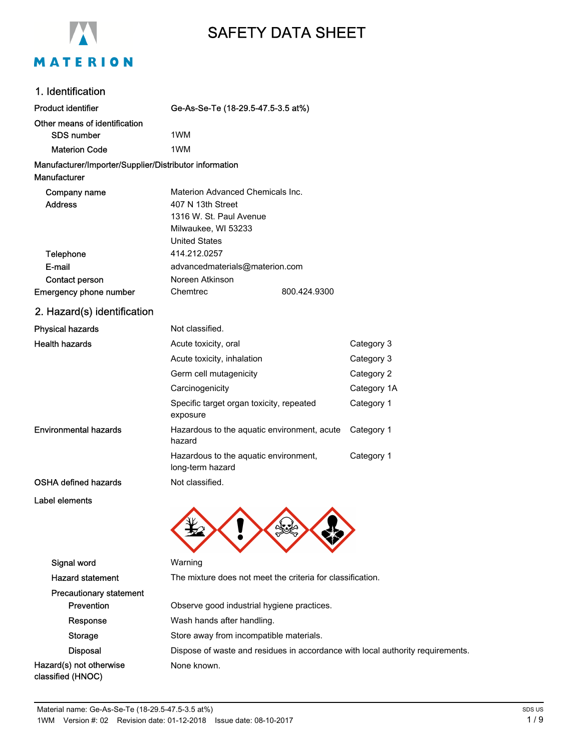

# SAFETY DATA SHEET

#### 1. Identification

| <b>Product identifier</b>                              | Ge-As-Se-Te (18-29.5-47.5-3.5 at%)                        |             |
|--------------------------------------------------------|-----------------------------------------------------------|-------------|
| Other means of identification                          |                                                           |             |
| <b>SDS number</b>                                      | 1WM                                                       |             |
| <b>Materion Code</b>                                   | 1WM                                                       |             |
| Manufacturer/Importer/Supplier/Distributor information |                                                           |             |
| Manufacturer                                           |                                                           |             |
| Company name                                           | Materion Advanced Chemicals Inc.                          |             |
| <b>Address</b>                                         | 407 N 13th Street                                         |             |
|                                                        | 1316 W. St. Paul Avenue                                   |             |
|                                                        | Milwaukee, WI 53233                                       |             |
|                                                        | <b>United States</b>                                      |             |
| Telephone                                              | 414.212.0257                                              |             |
| E-mail                                                 | advancedmaterials@materion.com                            |             |
| Contact person                                         | Noreen Atkinson                                           |             |
| Emergency phone number                                 | Chemtrec<br>800.424.9300                                  |             |
| 2. Hazard(s) identification                            |                                                           |             |
| <b>Physical hazards</b>                                | Not classified.                                           |             |
| <b>Health hazards</b>                                  | Acute toxicity, oral                                      | Category 3  |
|                                                        | Acute toxicity, inhalation                                | Category 3  |
|                                                        | Germ cell mutagenicity                                    | Category 2  |
|                                                        | Carcinogenicity                                           | Category 1A |
|                                                        | Specific target organ toxicity, repeated<br>exposure      | Category 1  |
| <b>Environmental hazards</b>                           | Hazardous to the aquatic environment, acute<br>hazard     | Category 1  |
|                                                        | Hazardous to the aquatic environment,<br>long-term hazard | Category 1  |
| <b>OSHA defined hazards</b>                            | Not classified.                                           |             |
| Label elements                                         |                                                           |             |



## Signal word Warning Hazard statement The mixture does not meet the criteria for classification. Precautionary statement Prevention **Prevention** Observe good industrial hygiene practices. Response Wash hands after handling. Storage Store away from incompatible materials. Disposal **Dispose of waste and residues in accordance with local authority requirements.** Hazard(s) not otherwise classified (HNOC) None known.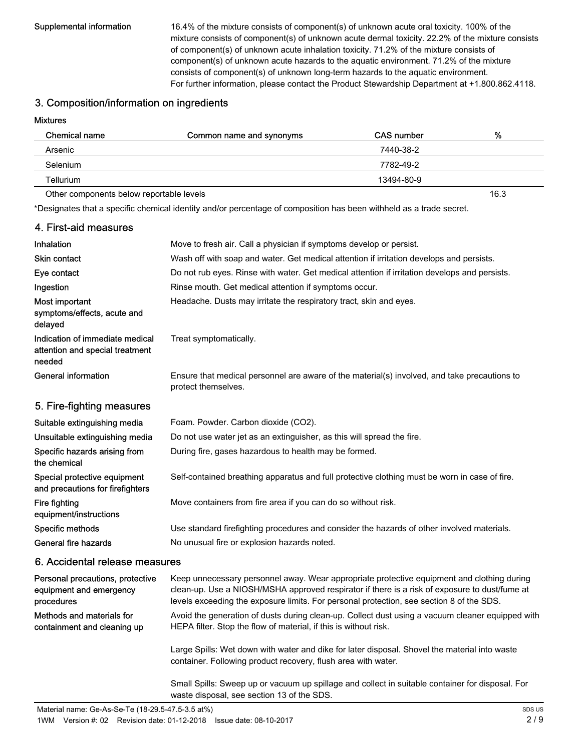Supplemental information 16.4% of the mixture consists of component(s) of unknown acute oral toxicity. 100% of the mixture consists of component(s) of unknown acute dermal toxicity. 22.2% of the mixture consists of component(s) of unknown acute inhalation toxicity. 71.2% of the mixture consists of component(s) of unknown acute hazards to the aquatic environment. 71.2% of the mixture consists of component(s) of unknown long-term hazards to the aquatic environment. For further information, please contact the Product Stewardship Department at +1.800.862.4118.

#### 3. Composition/information on ingredients

#### Mixtures

| <b>Chemical name</b>                     | Common name and synonyms | <b>CAS number</b> | %    |
|------------------------------------------|--------------------------|-------------------|------|
| Arsenic                                  |                          | 7440-38-2         |      |
| Selenium                                 |                          | 7782-49-2         |      |
| Tellurium                                |                          | 13494-80-9        |      |
| Other components below reportable levels |                          |                   | 16.3 |

\*Designates that a specific chemical identity and/or percentage of composition has been withheld as a trade secret.

| 4. First-aid measures                                                        |                                                                                                                     |
|------------------------------------------------------------------------------|---------------------------------------------------------------------------------------------------------------------|
| Inhalation                                                                   | Move to fresh air. Call a physician if symptoms develop or persist.                                                 |
| <b>Skin contact</b>                                                          | Wash off with soap and water. Get medical attention if irritation develops and persists.                            |
| Eye contact                                                                  | Do not rub eyes. Rinse with water. Get medical attention if irritation develops and persists.                       |
| Ingestion                                                                    | Rinse mouth. Get medical attention if symptoms occur.                                                               |
| Most important<br>symptoms/effects, acute and<br>delayed                     | Headache. Dusts may irritate the respiratory tract, skin and eyes.                                                  |
| Indication of immediate medical<br>attention and special treatment<br>needed | Treat symptomatically.                                                                                              |
| <b>General information</b>                                                   | Ensure that medical personnel are aware of the material(s) involved, and take precautions to<br>protect themselves. |
| 5. Fire-fighting measures                                                    |                                                                                                                     |
| Suitable extinguishing media                                                 | Foam. Powder. Carbon dioxide (CO2).                                                                                 |
| Unsuitable extinguishing media                                               | Do not use water jet as an extinguisher, as this will spread the fire.                                              |
| Specific hazards arising from<br>the chemical                                | During fire, gases hazardous to health may be formed.                                                               |
| Special protective equipment<br>and precautions for firefighters             | Self-contained breathing apparatus and full protective clothing must be worn in case of fire.                       |
| Fire fighting<br>equipment/instructions                                      | Move containers from fire area if you can do so without risk.                                                       |
| Specific methods                                                             | Use standard firefighting procedures and consider the hazards of other involved materials.                          |
| General fire hazards                                                         | No unusual fire or explosion hazards noted.                                                                         |
| <b>6. Appidental relegge meggures</b>                                        |                                                                                                                     |

#### 6. Accidental release measures

| Personal precautions, protective | Keep unnecessary personnel away. Wear appropriate protective equipment and clothing during                                                                     |
|----------------------------------|----------------------------------------------------------------------------------------------------------------------------------------------------------------|
| equipment and emergency          | clean-up. Use a NIOSH/MSHA approved respirator if there is a risk of exposure to dust/fume at                                                                  |
| procedures                       | levels exceeding the exposure limits. For personal protection, see section 8 of the SDS.                                                                       |
| Methods and materials for        | Avoid the generation of dusts during clean-up. Collect dust using a vacuum cleaner equipped with                                                               |
| containment and cleaning up      | HEPA filter. Stop the flow of material, if this is without risk.                                                                                               |
|                                  | Large Spills: Wet down with water and dike for later disposal. Shovel the material into waste<br>container. Following product recovery, flush area with water. |

Small Spills: Sweep up or vacuum up spillage and collect in suitable container for disposal. For waste disposal, see section 13 of the SDS.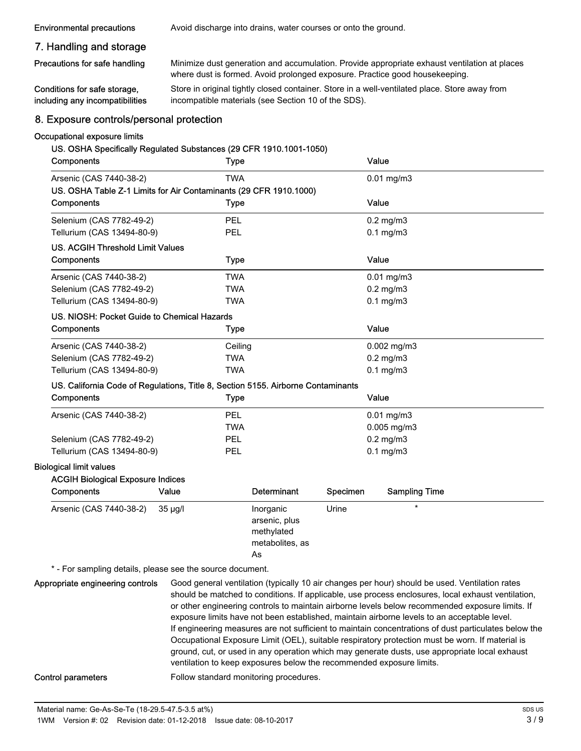**Environmental precautions** Avoid discharge into drains, water courses or onto the ground.

#### 7. Handling and storage

Precautions for safe handling

Conditions for safe storage, including any incompatibilities Minimize dust generation and accumulation. Provide appropriate exhaust ventilation at places where dust is formed. Avoid prolonged exposure. Practice good housekeeping.

Store in original tightly closed container. Store in a well-ventilated place. Store away from incompatible materials (see Section 10 of the SDS).

#### 8. Exposure controls/personal protection

#### Occupational exposure limits

#### US. OSHA Specifically Regulated Substances (29 CFR 1910.1001-1050)

| Components                                                                       |              | <b>Type</b> |                 |          | Value |                      |  |
|----------------------------------------------------------------------------------|--------------|-------------|-----------------|----------|-------|----------------------|--|
| Arsenic (CAS 7440-38-2)                                                          |              | <b>TWA</b>  |                 |          |       | $0.01$ mg/m $3$      |  |
| US. OSHA Table Z-1 Limits for Air Contaminants (29 CFR 1910.1000)                |              |             |                 |          |       |                      |  |
| Components                                                                       |              | <b>Type</b> |                 |          | Value |                      |  |
| Selenium (CAS 7782-49-2)                                                         |              | <b>PEL</b>  |                 |          |       | $0.2$ mg/m $3$       |  |
| Tellurium (CAS 13494-80-9)                                                       |              | PEL         |                 |          |       | $0.1$ mg/m $3$       |  |
| <b>US. ACGIH Threshold Limit Values</b>                                          |              |             |                 |          |       |                      |  |
| Components                                                                       |              | <b>Type</b> |                 |          | Value |                      |  |
| Arsenic (CAS 7440-38-2)                                                          |              | <b>TWA</b>  |                 |          |       | $0.01$ mg/m $3$      |  |
| Selenium (CAS 7782-49-2)                                                         |              | <b>TWA</b>  |                 |          |       | $0.2$ mg/m $3$       |  |
| Tellurium (CAS 13494-80-9)                                                       |              | <b>TWA</b>  |                 |          |       | $0.1$ mg/m $3$       |  |
| US. NIOSH: Pocket Guide to Chemical Hazards                                      |              |             |                 |          |       |                      |  |
| Components                                                                       |              | <b>Type</b> |                 |          | Value |                      |  |
| Arsenic (CAS 7440-38-2)                                                          |              | Ceiling     |                 |          |       | $0.002$ mg/m $3$     |  |
| Selenium (CAS 7782-49-2)                                                         |              | <b>TWA</b>  |                 |          |       | $0.2$ mg/m $3$       |  |
| Tellurium (CAS 13494-80-9)                                                       |              | <b>TWA</b>  |                 |          |       | $0.1$ mg/m $3$       |  |
| US. California Code of Regulations, Title 8, Section 5155. Airborne Contaminants |              |             |                 |          |       |                      |  |
| Components                                                                       |              | <b>Type</b> |                 |          | Value |                      |  |
| Arsenic (CAS 7440-38-2)                                                          |              | <b>PEL</b>  |                 |          |       | $0.01$ mg/m $3$      |  |
|                                                                                  |              | <b>TWA</b>  |                 |          |       | 0.005 mg/m3          |  |
| Selenium (CAS 7782-49-2)                                                         |              | PEL         |                 |          |       | $0.2$ mg/m $3$       |  |
| Tellurium (CAS 13494-80-9)                                                       |              | PEL         |                 |          |       | $0.1$ mg/m $3$       |  |
| <b>Biological limit values</b>                                                   |              |             |                 |          |       |                      |  |
| <b>ACGIH Biological Exposure Indices</b>                                         |              |             |                 |          |       |                      |  |
| Components                                                                       | Value        |             | Determinant     | Specimen |       | <b>Sampling Time</b> |  |
| Arsenic (CAS 7440-38-2)                                                          | $35 \mu g/l$ |             | Inorganic       | Urine    |       | $\star$              |  |
|                                                                                  |              |             | arsenic, plus   |          |       |                      |  |
|                                                                                  |              |             | methylated      |          |       |                      |  |
|                                                                                  |              |             | metabolites, as |          |       |                      |  |
|                                                                                  |              |             | As              |          |       |                      |  |

\* - For sampling details, please see the source document.

Good general ventilation (typically 10 air changes per hour) should be used. Ventilation rates should be matched to conditions. If applicable, use process enclosures, local exhaust ventilation, or other engineering controls to maintain airborne levels below recommended exposure limits. If exposure limits have not been established, maintain airborne levels to an acceptable level. If engineering measures are not sufficient to maintain concentrations of dust particulates below the Occupational Exposure Limit (OEL), suitable respiratory protection must be worn. If material is ground, cut, or used in any operation which may generate dusts, use appropriate local exhaust ventilation to keep exposures below the recommended exposure limits. Appropriate engineering controls

Control parameters **Follow** standard monitoring procedures.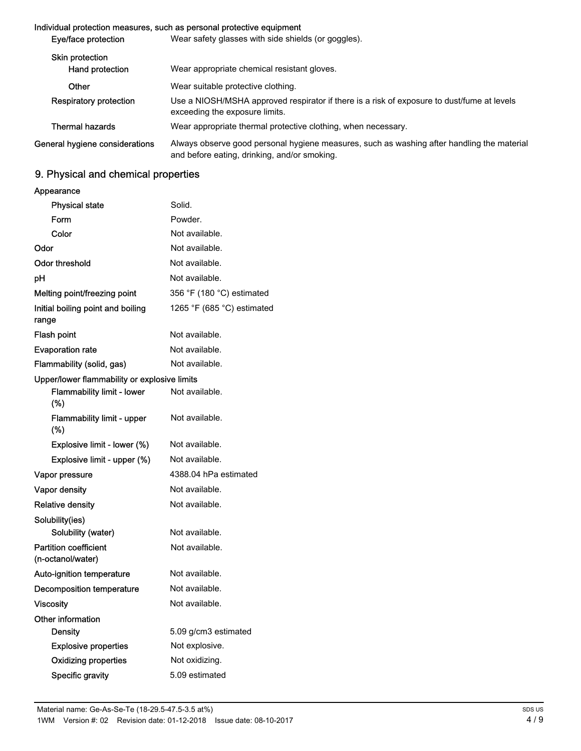#### Individual protection measures, such as personal protective equipment

| Eye/face protection            | Wear safety glasses with side shields (or goggles).                                                                                        |  |  |
|--------------------------------|--------------------------------------------------------------------------------------------------------------------------------------------|--|--|
| <b>Skin protection</b>         |                                                                                                                                            |  |  |
| Hand protection                | Wear appropriate chemical resistant gloves.                                                                                                |  |  |
| Other                          | Wear suitable protective clothing.                                                                                                         |  |  |
| Respiratory protection         | Use a NIOSH/MSHA approved respirator if there is a risk of exposure to dust/fume at levels<br>exceeding the exposure limits.               |  |  |
| <b>Thermal hazards</b>         | Wear appropriate thermal protective clothing, when necessary.                                                                              |  |  |
| General hygiene considerations | Always observe good personal hygiene measures, such as washing after handling the material<br>and before eating, drinking, and/or smoking. |  |  |

# 9. Physical and chemical properties

Appearance

| <b>Physical state</b>                             | Solid.                     |
|---------------------------------------------------|----------------------------|
| Form                                              | Powder.                    |
| Color                                             | Not available.             |
| Odor                                              | Not available.             |
| Odor threshold                                    | Not available.             |
| рH                                                | Not available.             |
| Melting point/freezing point                      | 356 °F (180 °C) estimated  |
| Initial boiling point and boiling<br>range        | 1265 °F (685 °C) estimated |
| Flash point                                       | Not available.             |
| <b>Evaporation rate</b>                           | Not available.             |
| Flammability (solid, gas)                         | Not available.             |
| Upper/lower flammability or explosive limits      |                            |
| <b>Flammability limit - lower</b><br>(%)          | Not available.             |
| <b>Flammability limit - upper</b><br>(%)          | Not available.             |
| Explosive limit - lower (%)                       | Not available.             |
| Explosive limit - upper (%)                       | Not available.             |
| Vapor pressure                                    | 4388.04 hPa estimated      |
| <b>Vapor density</b>                              | Not available.             |
| Relative density                                  | Not available.             |
| Solubility(ies)                                   |                            |
| Solubility (water)                                | Not available.             |
| <b>Partition coefficient</b><br>(n-octanol/water) | Not available.             |
| Auto-ignition temperature                         | Not available.             |
| Decomposition temperature                         | Not available.             |
| Viscosity                                         | Not available.             |
| Other information                                 |                            |
| Density                                           | 5.09 g/cm3 estimated       |
| <b>Explosive properties</b>                       | Not explosive.             |
| <b>Oxidizing properties</b>                       | Not oxidizing.             |
| Specific gravity                                  | 5.09 estimated             |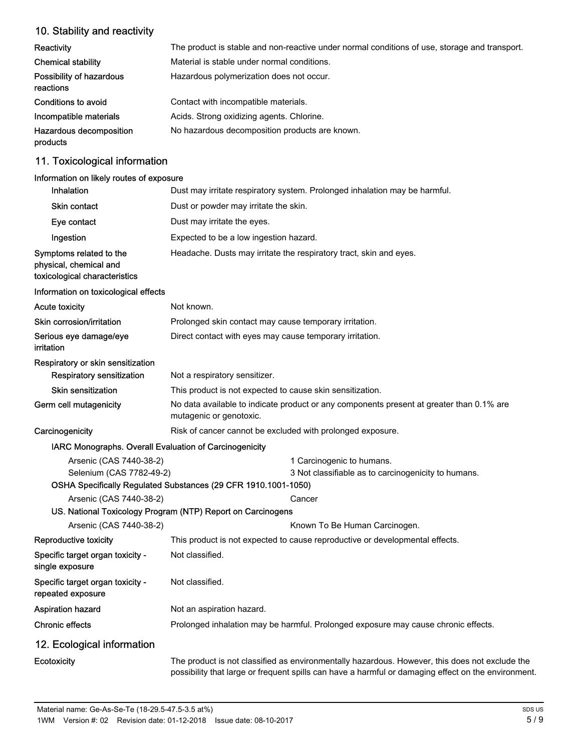# 10. Stability and reactivity

| <b>Reactivity</b>                     | The product is stable and non-reactive under normal conditions of use, storage and transport. |
|---------------------------------------|-----------------------------------------------------------------------------------------------|
| <b>Chemical stability</b>             | Material is stable under normal conditions.                                                   |
| Possibility of hazardous<br>reactions | Hazardous polymerization does not occur.                                                      |
| Conditions to avoid                   | Contact with incompatible materials.                                                          |
| Incompatible materials                | Acids. Strong oxidizing agents. Chlorine.                                                     |
| Hazardous decomposition<br>products   | No hazardous decomposition products are known.                                                |

# 11. Toxicological information

#### Information on likely routes of exposure

| <b>Inhalation</b>                                                                  | Dust may irritate respiratory system. Prolonged inhalation may be harmful.                                                                                                                            |  |  |
|------------------------------------------------------------------------------------|-------------------------------------------------------------------------------------------------------------------------------------------------------------------------------------------------------|--|--|
| <b>Skin contact</b>                                                                | Dust or powder may irritate the skin.                                                                                                                                                                 |  |  |
| Eye contact                                                                        | Dust may irritate the eyes.                                                                                                                                                                           |  |  |
| Ingestion                                                                          | Expected to be a low ingestion hazard.                                                                                                                                                                |  |  |
| Symptoms related to the<br>physical, chemical and<br>toxicological characteristics | Headache. Dusts may irritate the respiratory tract, skin and eyes.                                                                                                                                    |  |  |
| Information on toxicological effects                                               |                                                                                                                                                                                                       |  |  |
| <b>Acute toxicity</b>                                                              | Not known.                                                                                                                                                                                            |  |  |
| Skin corrosion/irritation                                                          | Prolonged skin contact may cause temporary irritation.                                                                                                                                                |  |  |
| Serious eye damage/eye<br>irritation                                               | Direct contact with eyes may cause temporary irritation.                                                                                                                                              |  |  |
| Respiratory or skin sensitization                                                  |                                                                                                                                                                                                       |  |  |
| Respiratory sensitization                                                          | Not a respiratory sensitizer.                                                                                                                                                                         |  |  |
| Skin sensitization                                                                 | This product is not expected to cause skin sensitization.                                                                                                                                             |  |  |
| Germ cell mutagenicity                                                             | No data available to indicate product or any components present at greater than 0.1% are<br>mutagenic or genotoxic.                                                                                   |  |  |
| Carcinogenicity                                                                    | Risk of cancer cannot be excluded with prolonged exposure.                                                                                                                                            |  |  |
| IARC Monographs. Overall Evaluation of Carcinogenicity                             |                                                                                                                                                                                                       |  |  |
| Arsenic (CAS 7440-38-2)                                                            | 1 Carcinogenic to humans.                                                                                                                                                                             |  |  |
| Selenium (CAS 7782-49-2)                                                           | 3 Not classifiable as to carcinogenicity to humans.                                                                                                                                                   |  |  |
|                                                                                    | OSHA Specifically Regulated Substances (29 CFR 1910.1001-1050)                                                                                                                                        |  |  |
| Arsenic (CAS 7440-38-2)                                                            | Cancer                                                                                                                                                                                                |  |  |
|                                                                                    | US. National Toxicology Program (NTP) Report on Carcinogens                                                                                                                                           |  |  |
| Arsenic (CAS 7440-38-2)                                                            | Known To Be Human Carcinogen.                                                                                                                                                                         |  |  |
| Reproductive toxicity                                                              | This product is not expected to cause reproductive or developmental effects.                                                                                                                          |  |  |
| Specific target organ toxicity -<br>single exposure                                | Not classified.                                                                                                                                                                                       |  |  |
| Specific target organ toxicity -<br>repeated exposure                              | Not classified.                                                                                                                                                                                       |  |  |
| Aspiration hazard                                                                  | Not an aspiration hazard.                                                                                                                                                                             |  |  |
| <b>Chronic effects</b>                                                             | Prolonged inhalation may be harmful. Prolonged exposure may cause chronic effects.                                                                                                                    |  |  |
| 12. Ecological information                                                         |                                                                                                                                                                                                       |  |  |
| Ecotoxicity                                                                        | The product is not classified as environmentally hazardous. However, this does not exclude the<br>possibility that large or frequent spills can have a harmful or damaging effect on the environment. |  |  |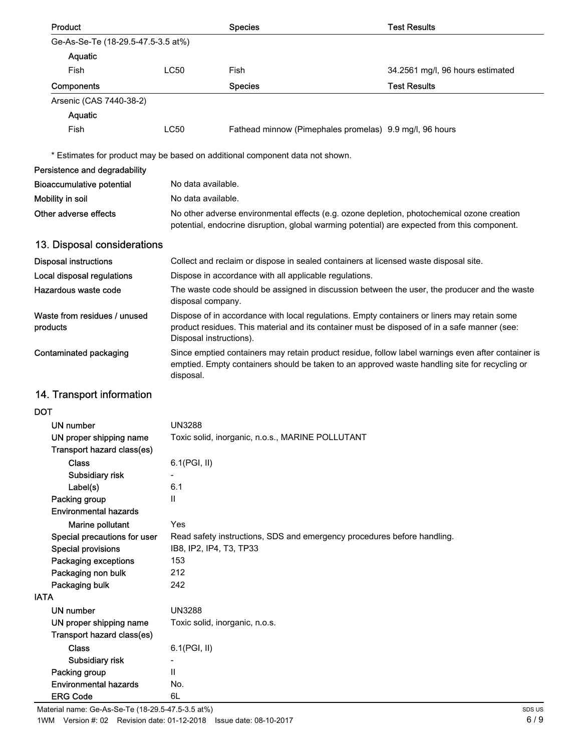| <b>Product</b>                                                      |                                                                                                                   | <b>Species</b>                                                                                                                                                                                      | <b>Test Results</b>              |  |
|---------------------------------------------------------------------|-------------------------------------------------------------------------------------------------------------------|-----------------------------------------------------------------------------------------------------------------------------------------------------------------------------------------------------|----------------------------------|--|
| Ge-As-Se-Te (18-29.5-47.5-3.5 at%)                                  |                                                                                                                   |                                                                                                                                                                                                     |                                  |  |
| Aquatic                                                             |                                                                                                                   |                                                                                                                                                                                                     |                                  |  |
| Fish                                                                | <b>LC50</b>                                                                                                       | Fish                                                                                                                                                                                                | 34.2561 mg/l, 96 hours estimated |  |
| Components                                                          |                                                                                                                   | <b>Species</b>                                                                                                                                                                                      | <b>Test Results</b>              |  |
| Arsenic (CAS 7440-38-2)                                             |                                                                                                                   |                                                                                                                                                                                                     |                                  |  |
| Aquatic                                                             |                                                                                                                   |                                                                                                                                                                                                     |                                  |  |
| Fish                                                                | <b>LC50</b>                                                                                                       | Fathead minnow (Pimephales promelas) 9.9 mg/l, 96 hours                                                                                                                                             |                                  |  |
|                                                                     |                                                                                                                   | * Estimates for product may be based on additional component data not shown.                                                                                                                        |                                  |  |
| Persistence and degradability                                       |                                                                                                                   |                                                                                                                                                                                                     |                                  |  |
| <b>Bioaccumulative potential</b>                                    | No data available.                                                                                                |                                                                                                                                                                                                     |                                  |  |
| Mobility in soil                                                    | No data available.                                                                                                |                                                                                                                                                                                                     |                                  |  |
| Other adverse effects                                               |                                                                                                                   | No other adverse environmental effects (e.g. ozone depletion, photochemical ozone creation                                                                                                          |                                  |  |
|                                                                     |                                                                                                                   | potential, endocrine disruption, global warming potential) are expected from this component.                                                                                                        |                                  |  |
| 13. Disposal considerations                                         |                                                                                                                   |                                                                                                                                                                                                     |                                  |  |
| <b>Disposal instructions</b>                                        |                                                                                                                   | Collect and reclaim or dispose in sealed containers at licensed waste disposal site.                                                                                                                |                                  |  |
| Local disposal regulations                                          |                                                                                                                   | Dispose in accordance with all applicable regulations.                                                                                                                                              |                                  |  |
| Hazardous waste code                                                | The waste code should be assigned in discussion between the user, the producer and the waste<br>disposal company. |                                                                                                                                                                                                     |                                  |  |
| Waste from residues / unused<br>products<br>Disposal instructions). |                                                                                                                   | Dispose of in accordance with local regulations. Empty containers or liners may retain some<br>product residues. This material and its container must be disposed of in a safe manner (see:         |                                  |  |
| Contaminated packaging                                              | disposal.                                                                                                         | Since emptied containers may retain product residue, follow label warnings even after container is<br>emptied. Empty containers should be taken to an approved waste handling site for recycling or |                                  |  |
| 14. Transport information                                           |                                                                                                                   |                                                                                                                                                                                                     |                                  |  |
| <b>DOT</b>                                                          |                                                                                                                   |                                                                                                                                                                                                     |                                  |  |
| UN number                                                           | <b>UN3288</b>                                                                                                     |                                                                                                                                                                                                     |                                  |  |
| UN proper shipping name<br>Transport hazard class(es)               |                                                                                                                   | Toxic solid, inorganic, n.o.s., MARINE POLLUTANT                                                                                                                                                    |                                  |  |
| <b>Class</b>                                                        | 6.1(PGI, II)                                                                                                      |                                                                                                                                                                                                     |                                  |  |
| Subsidiary risk                                                     |                                                                                                                   |                                                                                                                                                                                                     |                                  |  |
| Label(s)                                                            | 6.1                                                                                                               |                                                                                                                                                                                                     |                                  |  |
| Packing group                                                       | $\mathsf{II}$                                                                                                     |                                                                                                                                                                                                     |                                  |  |
| <b>Environmental hazards</b>                                        |                                                                                                                   |                                                                                                                                                                                                     |                                  |  |
| Marine pollutant                                                    | Yes                                                                                                               |                                                                                                                                                                                                     |                                  |  |
| Special precautions for user                                        |                                                                                                                   | Read safety instructions, SDS and emergency procedures before handling.                                                                                                                             |                                  |  |
| <b>Special provisions</b>                                           | IB8, IP2, IP4, T3, TP33                                                                                           |                                                                                                                                                                                                     |                                  |  |
| Packaging exceptions                                                | 153                                                                                                               |                                                                                                                                                                                                     |                                  |  |
| Packaging non bulk                                                  | 212<br>242                                                                                                        |                                                                                                                                                                                                     |                                  |  |
| Packaging bulk<br><b>IATA</b>                                       |                                                                                                                   |                                                                                                                                                                                                     |                                  |  |
| <b>UN number</b>                                                    | <b>UN3288</b>                                                                                                     |                                                                                                                                                                                                     |                                  |  |
| UN proper shipping name                                             | Toxic solid, inorganic, n.o.s.                                                                                    |                                                                                                                                                                                                     |                                  |  |
| Transport hazard class(es)                                          |                                                                                                                   |                                                                                                                                                                                                     |                                  |  |
| <b>Class</b>                                                        | 6.1(PGI, II)                                                                                                      |                                                                                                                                                                                                     |                                  |  |
| Subsidiary risk                                                     |                                                                                                                   |                                                                                                                                                                                                     |                                  |  |
| Packing group                                                       | Ш                                                                                                                 |                                                                                                                                                                                                     |                                  |  |
| <b>Environmental hazards</b>                                        | No.                                                                                                               |                                                                                                                                                                                                     |                                  |  |
| <b>ERG Code</b>                                                     | 6L                                                                                                                |                                                                                                                                                                                                     |                                  |  |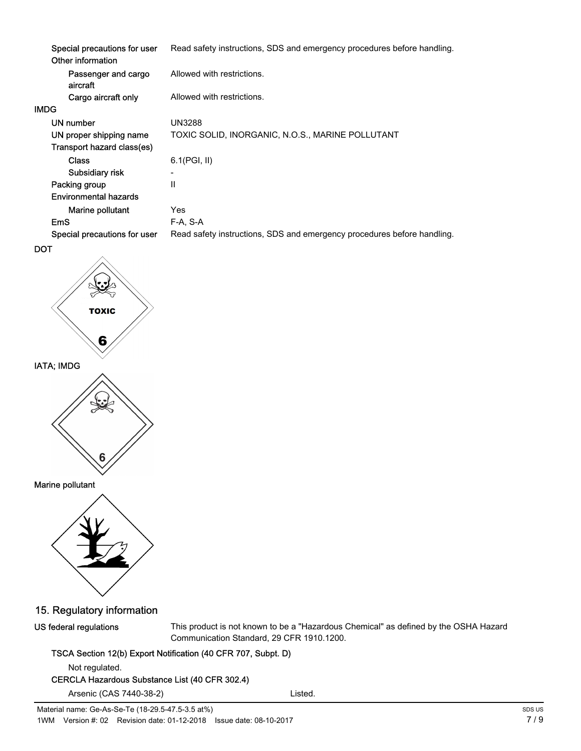|      | Special precautions for user<br>Other information | Read safety instructions, SDS and emergency procedures before handling. |
|------|---------------------------------------------------|-------------------------------------------------------------------------|
|      | Passenger and cargo<br>aircraft                   | Allowed with restrictions.                                              |
|      | Cargo aircraft only                               | Allowed with restrictions.                                              |
| IMDG |                                                   |                                                                         |
|      | UN number                                         | <b>UN3288</b>                                                           |
|      | UN proper shipping name                           | TOXIC SOLID, INORGANIC, N.O.S., MARINE POLLUTANT                        |
|      | Transport hazard class(es)                        |                                                                         |
|      | <b>Class</b>                                      | $6.1$ (PGI, II)                                                         |
|      | Subsidiary risk                                   | $\overline{\phantom{a}}$                                                |
|      | Packing group                                     | $\mathsf{II}$                                                           |
|      | Environmental hazards                             |                                                                         |
|      | Marine pollutant                                  | Yes                                                                     |
|      | <b>EmS</b>                                        | F-A, S-A                                                                |
|      | Special precautions for user                      | Read safety instructions, SDS and emergency procedures before handling. |
|      |                                                   |                                                                         |







15. Regulatory information

US federal regulations

This product is not known to be a "Hazardous Chemical" as defined by the OSHA Hazard Communication Standard, 29 CFR 1910.1200.

#### TSCA Section 12(b) Export Notification (40 CFR 707, Subpt. D)

Not regulated.

### CERCLA Hazardous Substance List (40 CFR 302.4)

Arsenic (CAS 7440-38-2) Listed.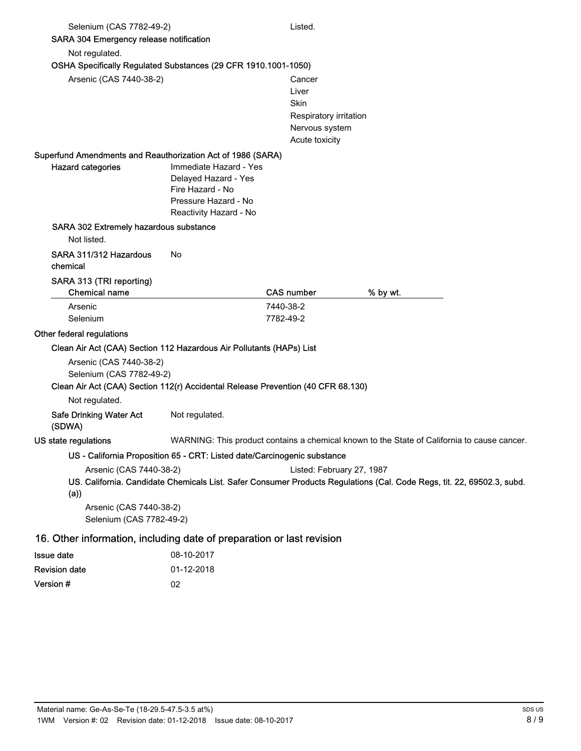| Selenium (CAS 7782-49-2)<br>SARA 304 Emergency release notification                                                                                       |                                                                                                                      | Listed.                                                                               |                                                                                                                        |
|-----------------------------------------------------------------------------------------------------------------------------------------------------------|----------------------------------------------------------------------------------------------------------------------|---------------------------------------------------------------------------------------|------------------------------------------------------------------------------------------------------------------------|
| Not regulated.                                                                                                                                            |                                                                                                                      |                                                                                       |                                                                                                                        |
| OSHA Specifically Regulated Substances (29 CFR 1910.1001-1050)                                                                                            |                                                                                                                      |                                                                                       |                                                                                                                        |
| Arsenic (CAS 7440-38-2)                                                                                                                                   |                                                                                                                      | Cancer<br>Liver<br>Skin<br>Respiratory irritation<br>Nervous system<br>Acute toxicity |                                                                                                                        |
| Superfund Amendments and Reauthorization Act of 1986 (SARA)                                                                                               |                                                                                                                      |                                                                                       |                                                                                                                        |
| <b>Hazard categories</b>                                                                                                                                  | Immediate Hazard - Yes<br>Delayed Hazard - Yes<br>Fire Hazard - No<br>Pressure Hazard - No<br>Reactivity Hazard - No |                                                                                       |                                                                                                                        |
| SARA 302 Extremely hazardous substance                                                                                                                    |                                                                                                                      |                                                                                       |                                                                                                                        |
| Not listed.                                                                                                                                               |                                                                                                                      |                                                                                       |                                                                                                                        |
| SARA 311/312 Hazardous<br>chemical                                                                                                                        | No                                                                                                                   |                                                                                       |                                                                                                                        |
| SARA 313 (TRI reporting)<br><b>Chemical name</b>                                                                                                          |                                                                                                                      | <b>CAS number</b>                                                                     | % by wt.                                                                                                               |
| Arsenic<br>Selenium                                                                                                                                       |                                                                                                                      | 7440-38-2<br>7782-49-2                                                                |                                                                                                                        |
| Other federal regulations                                                                                                                                 |                                                                                                                      |                                                                                       |                                                                                                                        |
| Clean Air Act (CAA) Section 112 Hazardous Air Pollutants (HAPs) List                                                                                      |                                                                                                                      |                                                                                       |                                                                                                                        |
| Arsenic (CAS 7440-38-2)<br>Selenium (CAS 7782-49-2)<br>Clean Air Act (CAA) Section 112(r) Accidental Release Prevention (40 CFR 68.130)<br>Not regulated. |                                                                                                                      |                                                                                       |                                                                                                                        |
| <b>Safe Drinking Water Act</b><br>(SDWA)                                                                                                                  | Not regulated.                                                                                                       |                                                                                       |                                                                                                                        |
| US state regulations                                                                                                                                      |                                                                                                                      |                                                                                       | WARNING: This product contains a chemical known to the State of California to cause cancer.                            |
|                                                                                                                                                           | US - California Proposition 65 - CRT: Listed date/Carcinogenic substance                                             |                                                                                       |                                                                                                                        |
| Arsenic (CAS 7440-38-2)<br>(a))                                                                                                                           |                                                                                                                      | Listed: February 27, 1987                                                             | US. California. Candidate Chemicals List. Safer Consumer Products Regulations (Cal. Code Regs, tit. 22, 69502.3, subd. |
| Arsenic (CAS 7440-38-2)<br>Selenium (CAS 7782-49-2)                                                                                                       |                                                                                                                      |                                                                                       |                                                                                                                        |
| 16. Other information, including date of preparation or last revision                                                                                     |                                                                                                                      |                                                                                       |                                                                                                                        |
| <b>Issue date</b>                                                                                                                                         | 08-10-2017                                                                                                           |                                                                                       |                                                                                                                        |
| <b>Revision date</b>                                                                                                                                      | 01-12-2018                                                                                                           |                                                                                       |                                                                                                                        |

Version # 02